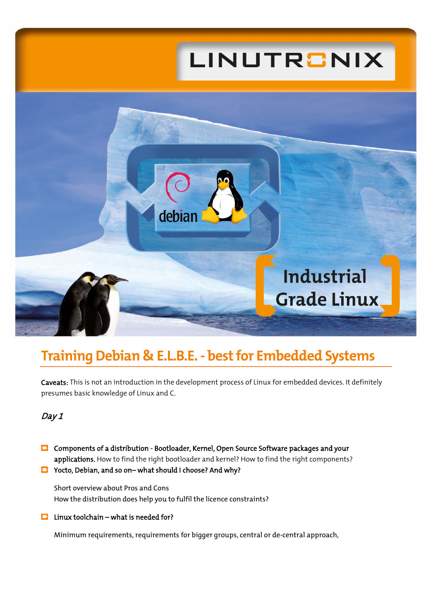# LINUTRONIX



## **Training Debian & E.L.B.E. - bestfor Embedded Systems**

Caveats: This is not an introduction in the development process of Linux for embedded devices. It definitely presumes basic knowledge of Linux and C.

### Day 1

- Components of a distribution Bootloader, Kernel, Open Source Software packages and your applications. How to find the right bootloader and kernel? How to find the right components?
- Yocto, Debian, and so on– what should I choose? And why?

Short overview about Pros and Cons How the distribution does help you to fulfil the licence constraints?

 $\Box$  Linux toolchain – what is needed for?

Minimum requirements, requirements for bigger groups, central or de-central approach,